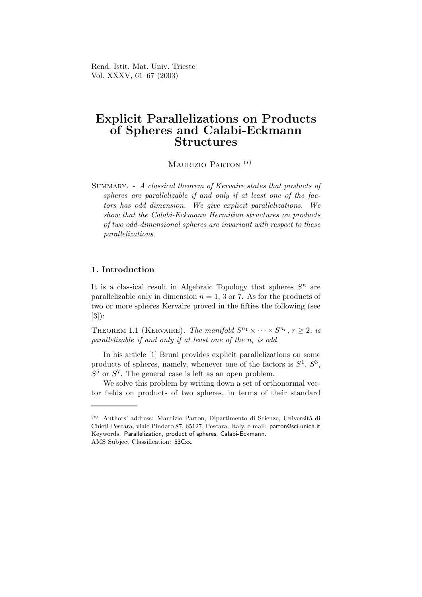Rend. Istit. Mat. Univ. Trieste Vol. XXXV, 61–67 (2003)

# Explicit Parallelizations on Products of Spheres and Calabi-Eckmann **Structures**

MAURIZIO PARTON<sup>(\*)</sup>

Summary. - A classical theorem of Kervaire states that products of spheres are parallelizable if and only if at least one of the factors has odd dimension. We give explicit parallelizations. We show that the Calabi-Eckmann Hermitian structures on products of two odd-dimensional spheres are invariant with respect to these parallelizations.

## 1. Introduction

It is a classical result in Algebraic Topology that spheres  $S<sup>n</sup>$  are parallelizable only in dimension  $n = 1, 3$  or 7. As for the products of two or more spheres Kervaire proved in the fifties the following (see [3]):

THEOREM 1.1 (KERVAIRE). The manifold  $S^{n_1} \times \cdots \times S^{n_r}$ ,  $r \geq 2$ , is  $parallelizable$  if and only if at least one of the  $n_i$  is odd.

In his article [1] Bruni provides explicit parallelizations on some products of spheres, namely, whenever one of the factors is  $S^1$ ,  $S^3$ ,  $S<sup>5</sup>$  or  $S<sup>7</sup>$ . The general case is left as an open problem.

We solve this problem by writing down a set of orthonormal vector fields on products of two spheres, in terms of their standard

<sup>(</sup>∗) Authors' address: Maurizio Parton, Dipartimento di Scienze, Universit`a di Chieti-Pescara, viale Pindaro 87, 65127, Pescara, Italy, e-mail: parton@sci.unich.it Keywords: Parallelization, product of spheres, Calabi-Eckmann. AMS Subject Classification: 53Cxx.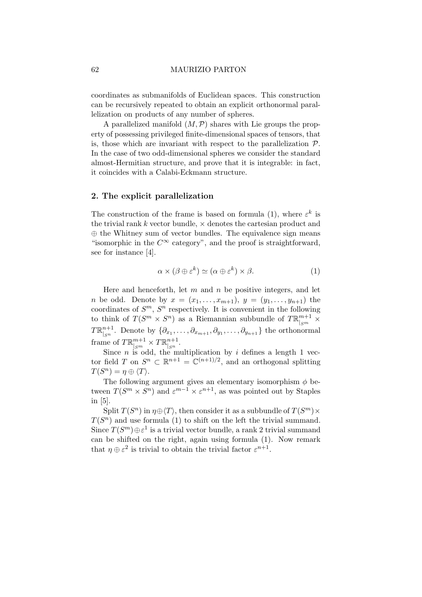#### 62 MAURIZIO PARTON

coordinates as submanifolds of Euclidean spaces. This construction can be recursively repeated to obtain an explicit orthonormal parallelization on products of any number of spheres.

A parallelized manifold  $(M, \mathcal{P})$  shares with Lie groups the property of possessing privileged finite-dimensional spaces of tensors, that is, those which are invariant with respect to the parallelization  $P$ . In the case of two odd-dimensional spheres we consider the standard almost-Hermitian structure, and prove that it is integrable: in fact, it coincides with a Calabi-Eckmann structure.

### 2. The explicit parallelization

The construction of the frame is based on formula (1), where  $\varepsilon^k$  is the trivial rank  $k$  vector bundle,  $\times$  denotes the cartesian product and ⊕ the Whitney sum of vector bundles. The equivalence sign means "isomorphic in the  $C^{\infty}$  category", and the proof is straightforward, see for instance [4].

$$
\alpha \times (\beta \oplus \varepsilon^k) \simeq (\alpha \oplus \varepsilon^k) \times \beta. \tag{1}
$$

Here and henceforth, let  $m$  and  $n$  be positive integers, and let *n* be odd. Denote by  $x = (x_1, \ldots, x_{m+1}), y = (y_1, \ldots, y_{n+1})$  the coordinates of  $S<sup>m</sup>$ ,  $S<sup>n</sup>$  respectively. It is convenient in the following to think of  $T(S^m \times S^n)$  as a Riemannian subbundle of  $T \mathbb{R}^{m+1}_{|_{S^m}} \times$  $T\mathbb{R}^{n+1}_{\scriptscriptstyle \lfloor\alpha n\rfloor}$  $\int_{\mathbb{S}^n}^{n+1}$ . Denote by  $\{\partial_{x_1},\ldots,\partial_{x_{m+1}},\partial_{y_1},\ldots,\partial_{y_{n+1}}\}$  the orthonormal frame of  $T \mathbb{R}^{m+1}_{|_{S^m}} \times T \mathbb{R}^{n+1}_{|_{S^n}}$  $\frac{n+1}{|S^n}$ .

Since n is odd, the multiplication by i defines a length 1 vector field T on  $S^n \subset \mathbb{R}^{n+1} = \mathbb{C}^{(n+1)/2}$ , and an orthogonal splitting  $T(S^n) = \eta \oplus \langle T \rangle.$ 

The following argument gives an elementary isomorphism  $\phi$  between  $T(S^m \times S^n)$  and  $\varepsilon^{m-1} \times \varepsilon^{n+1}$ , as was pointed out by Staples in [5].

Split  $T(S^n)$  in  $\eta \oplus \langle T \rangle$ , then consider it as a subbundle of  $T(S^m) \times$  $T(S^n)$  and use formula (1) to shift on the left the trivial summand. Since  $T(S^m) \oplus \varepsilon^1$  is a trivial vector bundle, a rank 2 trivial summand can be shifted on the right, again using formula (1). Now remark that  $\eta \oplus \varepsilon^2$  is trivial to obtain the trivial factor  $\varepsilon^{n+1}$ .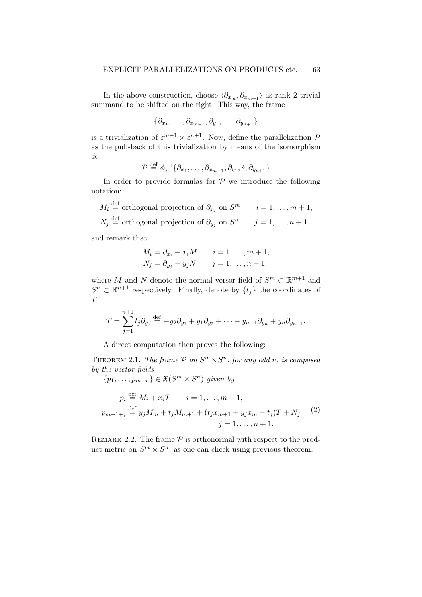In the above construction, choose  $\langle \partial_{x_m}, \partial_{x_{m+1}} \rangle$  as rank 2 trivial summand to be shifted on the right. This way, the frame

$$
\{\partial_{x_1},\ldots,\partial_{x_{m-1}},\partial_{y_1},\ldots,\partial_{y_{n+1}}\}
$$

is a trivialization of  $\varepsilon^{m-1} \times \varepsilon^{n+1}$ . Now, define the parallelization  $\mathcal P$ as the pull-back of this trivialization by means of the isomorphism φ:

$$
\mathcal{P} \stackrel{\text{def}}{=} \phi_*^{-1}\{\partial_{x_1},\ldots,\partial_{x_{m-1}},\partial_{y_1},\dot{s},\partial_{y_{n+1}}\}
$$

In order to provide formulas for  $P$  we introduce the following notation:

 $M_i \stackrel{\text{def}}{=}$  orthogonal projection of  $\partial_{x_i}$  on  $S^m$  i = 1, ...,  $m + 1$ ,  $N_j \stackrel{\text{def}}{=}$  orthogonal projection of  $\partial_{y_j}$  on  $S^n$   $j = 1, \ldots, n + 1$ . and remark that

$$
M_i = \partial_{x_i} - x_i M \qquad i = 1, \dots, m+1,
$$
  

$$
N_j = \partial_{y_j} - y_j N \qquad j = 1, \dots, n+1,
$$

where M and N denote the normal versor field of  $S^m \subset \mathbb{R}^{m+1}$  and  $S^n \subset \mathbb{R}^{n+1}$  respectively. Finally, denote by  $\{t_j\}$  the coordinates of  $T:$ 

$$
T = \sum_{j=1}^{n+1} t_j \partial_{y_j} \stackrel{\text{def}}{=} -y_2 \partial_{y_1} + y_1 \partial_{y_2} + \cdots - y_{n+1} \partial_{y_n} + y_n \partial_{y_{n+1}}.
$$

A direct computation then proves the following:

THEOREM 2.1. The frame  $P$  on  $S^m \times S^n$ , for any odd n, is composed by the vector fields

$$
\{p_1, \ldots, p_{m+n}\} \in \mathfrak{X}(S^m \times S^n) \text{ given by}
$$
  
\n
$$
p_i \stackrel{\text{def}}{=} M_i + x_i T \qquad i = 1, \ldots, m-1,
$$
  
\n
$$
p_{m-1+j} \stackrel{\text{def}}{=} y_j M_m + t_j M_{m+1} + (t_j x_{m+1} + y_j x_m - t_j) T + N_j
$$
 (2)  
\n
$$
j = 1, \ldots, n+1.
$$

REMARK 2.2. The frame  $P$  is orthonormal with respect to the product metric on  $S^m \times S^n$ , as one can check using previous theorem.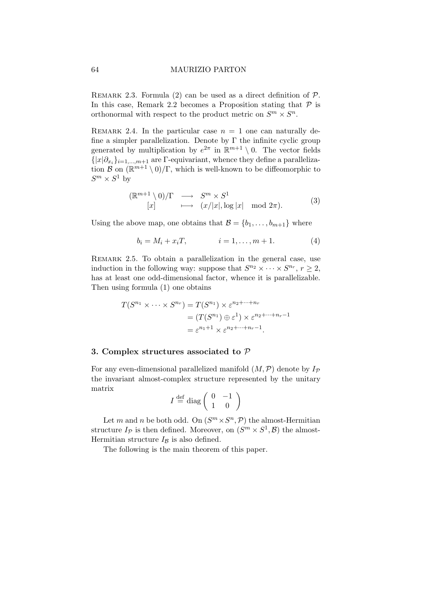#### 64 MAURIZIO PARTON

REMARK 2.3. Formula (2) can be used as a direct definition of  $P$ . In this case, Remark 2.2 becomes a Proposition stating that  $P$  is orthonormal with respect to the product metric on  $S^m \times S^n$ .

REMARK 2.4. In the particular case  $n = 1$  one can naturally define a simpler parallelization. Denote by  $\Gamma$  the infinite cyclic group generated by multiplication by  $e^{2\pi}$  in  $\mathbb{R}^{m+1} \setminus 0$ . The vector fields  $\{|x|\partial_{x_i}\}_{i=1,\dots,m+1}$  are Γ-equivariant, whence they define a parallelization  $\mathcal{B}$  on  $(\mathbb{R}^{m+1} \setminus 0)/\Gamma$ , which is well-known to be diffeomorphic to  $S^m \times S^1$  by

$$
\begin{array}{rcl} (\mathbb{R}^{m+1} \setminus 0)/\Gamma & \longrightarrow & S^m \times S^1\\ \text{[}x\text{]} & \longmapsto & (x/|x|, \log|x| \mod 2\pi). \end{array} \tag{3}
$$

Using the above map, one obtains that  $\mathcal{B} = \{b_1, \ldots, b_{m+1}\}\$  where

$$
b_i = M_i + x_i T, \t i = 1, ..., m + 1.
$$
 (4)

REMARK 2.5. To obtain a parallelization in the general case, use induction in the following way: suppose that  $S^{n_2} \times \cdots \times S^{n_r}$ ,  $r \geq 2$ , has at least one odd-dimensional factor, whence it is parallelizable. Then using formula (1) one obtains

$$
T(S^{n_1} \times \cdots \times S^{n_r}) = T(S^{n_1}) \times \varepsilon^{n_2 + \cdots + n_r}
$$
  
= 
$$
(T(S^{n_1}) \oplus \varepsilon^1) \times \varepsilon^{n_2 + \cdots + n_r - 1}
$$
  
= 
$$
\varepsilon^{n_1 + 1} \times \varepsilon^{n_2 + \cdots + n_r - 1}.
$$

#### 3. Complex structures associated to P

For any even-dimensional parallelized manifold  $(M, \mathcal{P})$  denote by  $I_{\mathcal{P}}$ the invariant almost-complex structure represented by the unitary matrix

$$
I \stackrel{\text{def}}{=} \text{diag}\left(\begin{array}{cc} 0 & -1 \\ 1 & 0 \end{array}\right)
$$

Let m and n be both odd. On  $(S^m \times S^n, \mathcal{P})$  the almost-Hermitian structure  $I_{\mathcal{P}}$  is then defined. Moreover, on  $(S^m \times S^1, \mathcal{B})$  the almost-Hermitian structure  $I_{\mathcal{B}}$  is also defined.

The following is the main theorem of this paper.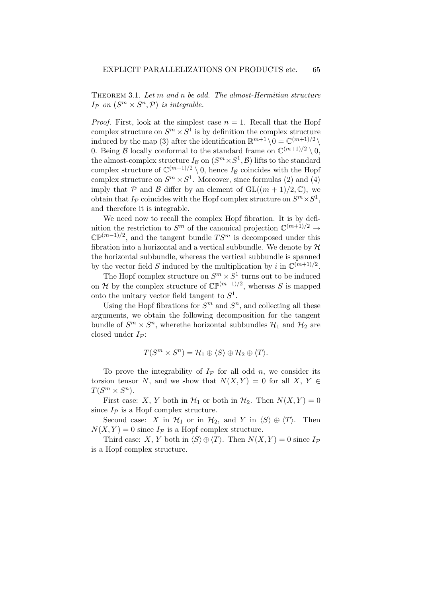THEOREM 3.1. Let m and n be odd. The almost-Hermitian structure  $I_{\mathcal{P}}$  on  $(S^m \times S^n, \mathcal{P})$  is integrable.

*Proof.* First, look at the simplest case  $n = 1$ . Recall that the Hopf complex structure on  $S^m \times S^1$  is by definition the complex structure induced by the map (3) after the identification  $\mathbb{R}^{m+1} \setminus 0 = \mathbb{C}^{(m+1)/2} \setminus$ 0. Being  $\mathcal{B}$  locally conformal to the standard frame on  $\mathbb{C}^{(m+1)/2} \setminus 0$ , the almost-complex structure  $I_{\mathcal{B}}$  on  $(S^m \times S^1, \mathcal{B})$  lifts to the standard complex structure of  $\mathbb{C}^{(m+1)/2} \setminus 0$ , hence  $I_{\mathcal{B}}$  coincides with the Hopf complex structure on  $S^m \times S^1$ . Moreover, since formulas (2) and (4) imply that P and B differ by an element of  $GL((m + 1)/2, \mathbb{C})$ , we obtain that  $I_{\mathcal{P}}$  coincides with the Hopf complex structure on  $S^m \times S^1$ , and therefore it is integrable.

We need now to recall the complex Hopf fibration. It is by definition the restriction to  $S^m$  of the canonical projection  $\mathbb{C}^{(m+1)/2} \to$  $\mathbb{CP}^{(m-1)/2}$ , and the tangent bundle  $TS^m$  is decomposed under this fibration into a horizontal and a vertical subbundle. We denote by  $H$ the horizontal subbundle, whereas the vertical subbundle is spanned by the vector field S induced by the multiplication by i in  $\mathbb{C}^{(m+1)/2}$ .

The Hopf complex structure on  $S^m \times S^1$  turns out to be induced on H by the complex structure of  $\mathbb{CP}^{(m-1)/2}$ , whereas S is mapped onto the unitary vector field tangent to  $S^1$ .

Using the Hopf fibrations for  $S^m$  and  $S^n$ , and collecting all these arguments, we obtain the following decomposition for the tangent bundle of  $S^m \times S^n$ , where<br>the horizontal subbundles  $\mathcal{H}_1$  and  $\mathcal{H}_2$  are closed under  $I_{\mathcal{P}}$ :

$$
T(S^m \times S^n) = \mathcal{H}_1 \oplus \langle S \rangle \oplus \mathcal{H}_2 \oplus \langle T \rangle.
$$

To prove the integrability of  $I_p$  for all odd n, we consider its torsion tensor N, and we show that  $N(X, Y) = 0$  for all  $X, Y \in$  $T(S^m \times S^n)$ .

First case: X, Y both in  $\mathcal{H}_1$  or both in  $\mathcal{H}_2$ . Then  $N(X, Y) = 0$ since  $I_{\mathcal{P}}$  is a Hopf complex structure.

Second case: X in  $\mathcal{H}_1$  or in  $\mathcal{H}_2$ , and Y in  $\langle S \rangle \oplus \langle T \rangle$ . Then  $N(X, Y) = 0$  since  $I_P$  is a Hopf complex structure.

Third case: X, Y both in  $\langle S \rangle \oplus \langle T \rangle$ . Then  $N(X, Y) = 0$  since  $I_P$ is a Hopf complex structure.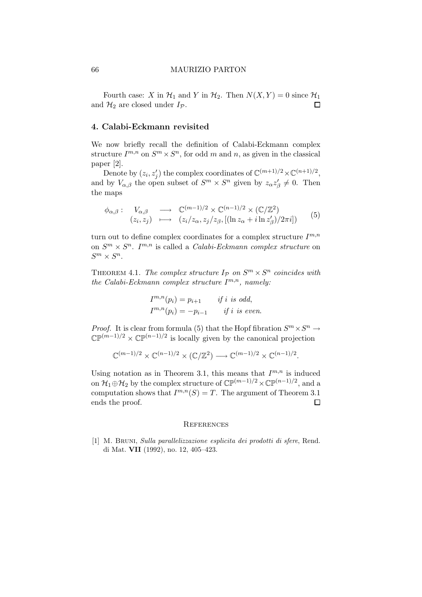#### 66 MAURIZIO PARTON

Fourth case: X in  $\mathcal{H}_1$  and Y in  $\mathcal{H}_2$ . Then  $N(X, Y) = 0$  since  $\mathcal{H}_1$ and  $\mathcal{H}_2$  are closed under  $I_{\mathcal{P}}$ .  $\Box$ 

#### 4. Calabi-Eckmann revisited

We now briefly recall the definition of Calabi-Eckmann complex structure  $I^{m,n}$  on  $S^m \times S^n$ , for odd m and n, as given in the classical paper [2].

Denote by  $(z_i, z'_j)$  the complex coordinates of  $\mathbb{C}^{(m+1)/2} \times \mathbb{C}^{(n+1)/2}$ , and by  $V_{\alpha,\beta}$  the open subset of  $S^m \times S^n$  given by  $z_{\alpha}z_{\beta}' \neq 0$ . Then the maps

$$
\phi_{\alpha,\beta} : \quad V_{\alpha,\beta} \quad \longrightarrow \quad \mathbb{C}^{(m-1)/2} \times \mathbb{C}^{(n-1)/2} \times (\mathbb{C}/\mathbb{Z}^2) (z_i, z_j) \quad \longmapsto \quad (z_i/z_\alpha, z_j/z_\beta, [(\ln z_\alpha + i \ln z'_\beta)/2\pi i])
$$
 (5)

turn out to define complex coordinates for a complex structure  $I^{m,n}$ on  $S^m \times S^n$ . I<sup>m,n</sup> is called a *Calabi-Eckmann complex structure* on  $S^m \times S^n$ .

THEOREM 4.1. The complex structure  $I_{\mathcal{P}}$  on  $S^m \times S^n$  coincides with the Calabi-Eckmann complex structure  $I^{m,n}$ , namely:

$$
I^{m,n}(p_i) = p_{i+1} \t\t if i is odd,I^{m,n}(p_i) = -p_{i-1} \t\t if i is even.
$$

*Proof.* It is clear from formula (5) that the Hopf fibration  $S^m \times S^n \to$  $\mathbb{CP}^{(m-1)/2} \times \mathbb{CP}^{(n-1)/2}$  is locally given by the canonical projection

$$
\mathbb{C}^{(m-1)/2} \times \mathbb{C}^{(n-1)/2} \times (\mathbb{C}/\mathbb{Z}^2) \longrightarrow \mathbb{C}^{(m-1)/2} \times \mathbb{C}^{(n-1)/2}.
$$

Using notation as in Theorem 3.1, this means that  $I^{m,n}$  is induced on  $\mathcal{H}_1 \oplus \mathcal{H}_2$  by the complex structure of  $\mathbb{CP}^{(m-1)/2} \times \mathbb{CP}^{(n-1)/2}$ , and a computation shows that  $I^{m,n}(S) = T$ . The argument of Theorem 3.1 ends the proof.  $\Box$ 

#### **REFERENCES**

[1] M. Bruni, Sulla parallelizzazione esplicita dei prodotti di sfere, Rend. di Mat. VII (1992), no. 12, 405–423.